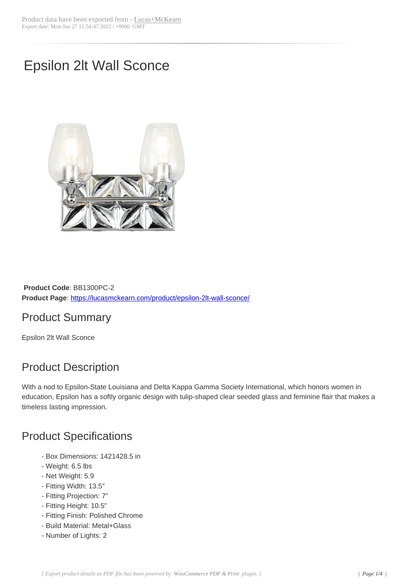# Epsilon 2lt Wall Sconce



**Product Code**: BB1300PC-2 **Product Page**: https://lucasmckearn.com/product/epsilon-2lt-wall-sconce/

### Product Summary

Epsilon 2lt Wall [Sconce](https://lucasmckearn.com/product/epsilon-2lt-wall-sconce/)

## Product Description

With a nod to Epsilon-State Louisiana and Delta Kappa Gamma Society International, which honors women in education, Epsilon has a softly organic design with tulip-shaped clear seeded glass and feminine flair that makes a timeless lasting impression.

### Product Specifications

- Box Dimensions: 1421428.5 in
- Weight: 6.5 lbs
- Net Weight: 5.9
- Fitting Width: 13.5"
- Fitting Projection: 7"
- Fitting Height: 10.5"
- Fitting Finish: Polished Chrome
- Build Material: Metal+Glass
- Number of Lights: 2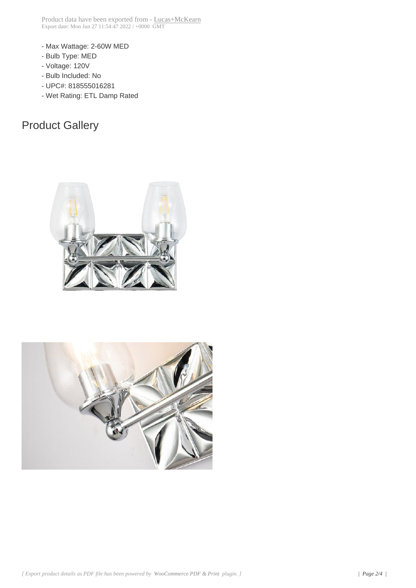- Max Wattage: 2-60W MED
- Bulb Type: MED
- Voltage: 120V
- Bulb Included: No
- UPC#: 818555016281
- Wet Rating: ETL Damp Rated

## Product Gallery



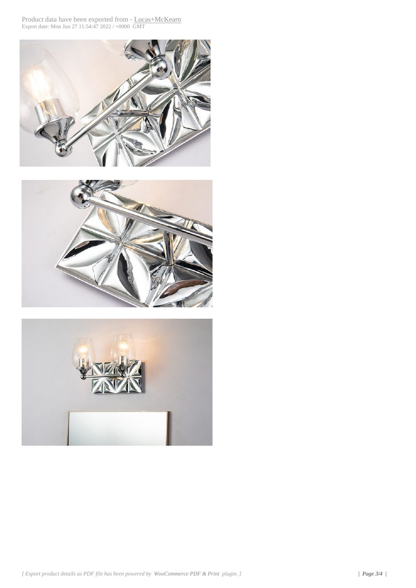